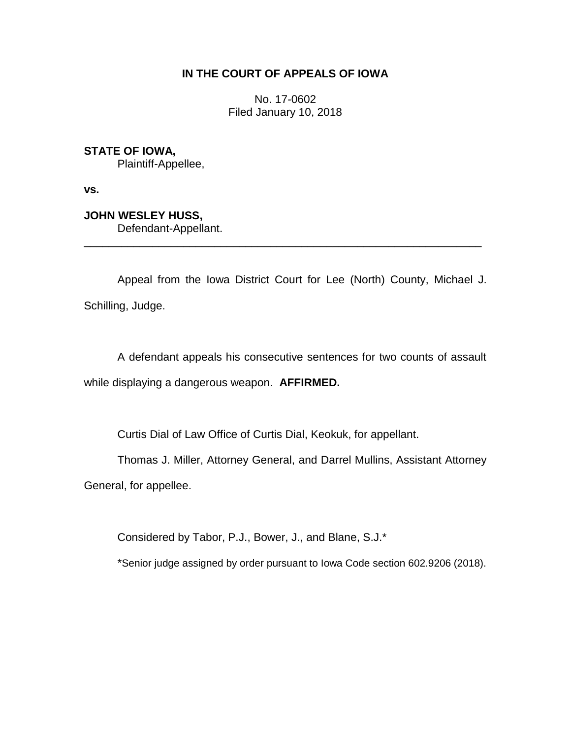## **IN THE COURT OF APPEALS OF IOWA**

No. 17-0602 Filed January 10, 2018

**STATE OF IOWA,**

Plaintiff-Appellee,

**vs.**

**JOHN WESLEY HUSS,**

Defendant-Appellant.

Appeal from the Iowa District Court for Lee (North) County, Michael J. Schilling, Judge.

\_\_\_\_\_\_\_\_\_\_\_\_\_\_\_\_\_\_\_\_\_\_\_\_\_\_\_\_\_\_\_\_\_\_\_\_\_\_\_\_\_\_\_\_\_\_\_\_\_\_\_\_\_\_\_\_\_\_\_\_\_\_\_\_

A defendant appeals his consecutive sentences for two counts of assault while displaying a dangerous weapon. **AFFIRMED.**

Curtis Dial of Law Office of Curtis Dial, Keokuk, for appellant.

Thomas J. Miller, Attorney General, and Darrel Mullins, Assistant Attorney

General, for appellee.

Considered by Tabor, P.J., Bower, J., and Blane, S.J.\*

\*Senior judge assigned by order pursuant to Iowa Code section 602.9206 (2018).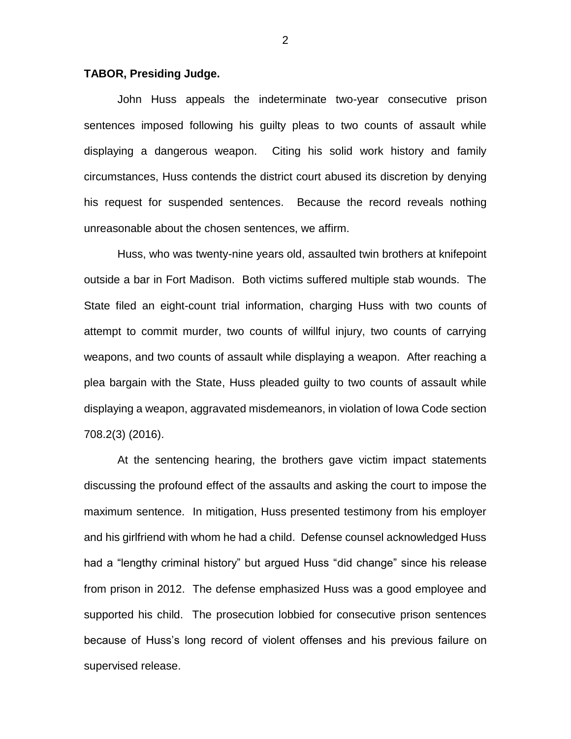## **TABOR, Presiding Judge.**

John Huss appeals the indeterminate two-year consecutive prison sentences imposed following his guilty pleas to two counts of assault while displaying a dangerous weapon. Citing his solid work history and family circumstances, Huss contends the district court abused its discretion by denying his request for suspended sentences. Because the record reveals nothing unreasonable about the chosen sentences, we affirm.

Huss, who was twenty-nine years old, assaulted twin brothers at knifepoint outside a bar in Fort Madison. Both victims suffered multiple stab wounds. The State filed an eight-count trial information, charging Huss with two counts of attempt to commit murder, two counts of willful injury, two counts of carrying weapons, and two counts of assault while displaying a weapon. After reaching a plea bargain with the State, Huss pleaded guilty to two counts of assault while displaying a weapon, aggravated misdemeanors, in violation of Iowa Code section 708.2(3) (2016).

At the sentencing hearing, the brothers gave victim impact statements discussing the profound effect of the assaults and asking the court to impose the maximum sentence. In mitigation, Huss presented testimony from his employer and his girlfriend with whom he had a child. Defense counsel acknowledged Huss had a "lengthy criminal history" but argued Huss "did change" since his release from prison in 2012. The defense emphasized Huss was a good employee and supported his child. The prosecution lobbied for consecutive prison sentences because of Huss's long record of violent offenses and his previous failure on supervised release.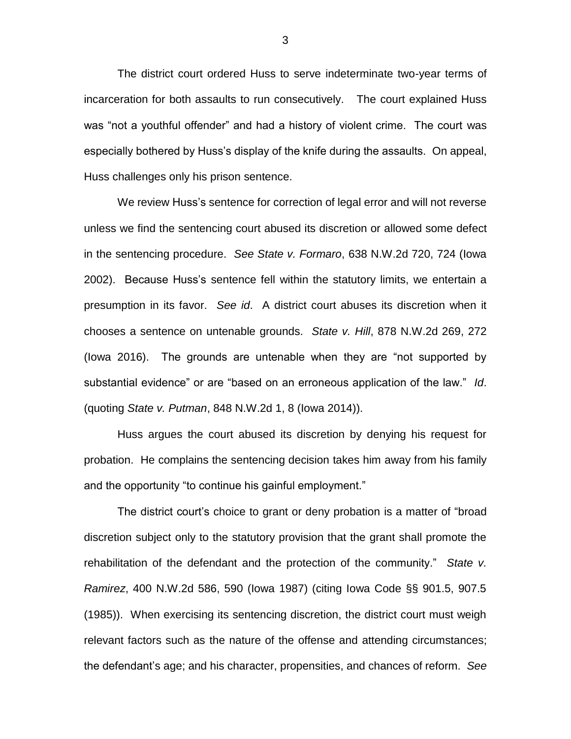The district court ordered Huss to serve indeterminate two-year terms of incarceration for both assaults to run consecutively. The court explained Huss was "not a youthful offender" and had a history of violent crime. The court was especially bothered by Huss's display of the knife during the assaults. On appeal, Huss challenges only his prison sentence.

We review Huss's sentence for correction of legal error and will not reverse unless we find the sentencing court abused its discretion or allowed some defect in the sentencing procedure. *See State v. Formaro*, 638 N.W.2d 720, 724 (Iowa 2002). Because Huss's sentence fell within the statutory limits, we entertain a presumption in its favor. *See id*. A district court abuses its discretion when it chooses a sentence on untenable grounds. *State v. Hill*, 878 N.W.2d 269, 272 (Iowa 2016). The grounds are untenable when they are "not supported by substantial evidence" or are "based on an erroneous application of the law." *Id*. (quoting *State v. Putman*, 848 N.W.2d 1, 8 (Iowa 2014)).

Huss argues the court abused its discretion by denying his request for probation. He complains the sentencing decision takes him away from his family and the opportunity "to continue his gainful employment."

The district court's choice to grant or deny probation is a matter of "broad discretion subject only to the statutory provision that the grant shall promote the rehabilitation of the defendant and the protection of the community." *State v. Ramirez*, 400 N.W.2d 586, 590 (Iowa 1987) (citing Iowa Code §§ 901.5, 907.5 (1985)). When exercising its sentencing discretion, the district court must weigh relevant factors such as the nature of the offense and attending circumstances; the defendant's age; and his character, propensities, and chances of reform. *See*